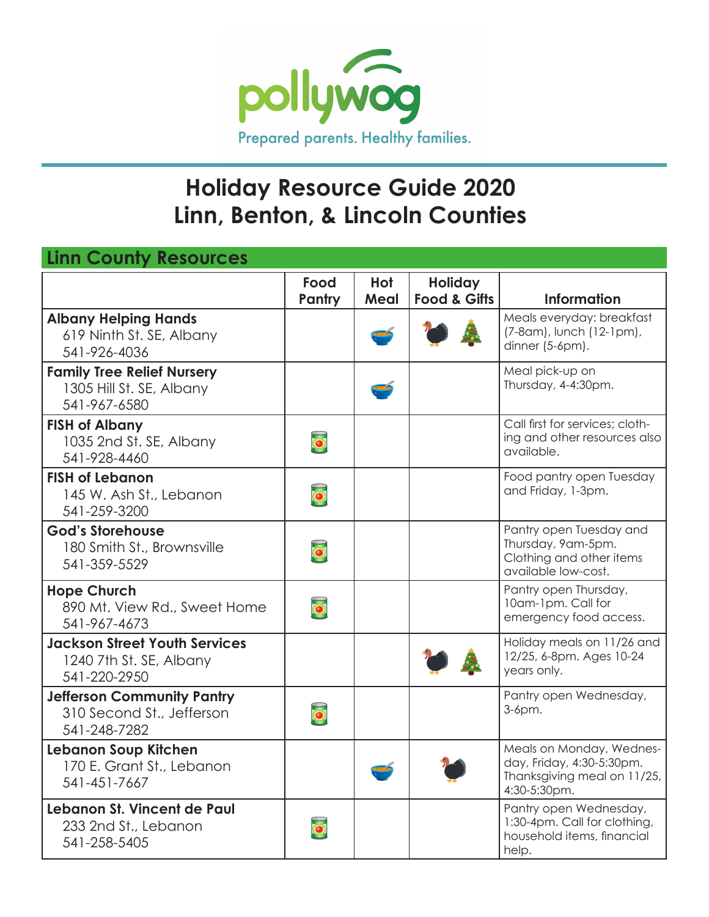

## **Holiday Resource Guide 2020 Linn, Benton, & Lincoln Counties**

| <b>Linn County Resources</b>                                                    |                         |             |                                           |                                                                                                      |
|---------------------------------------------------------------------------------|-------------------------|-------------|-------------------------------------------|------------------------------------------------------------------------------------------------------|
|                                                                                 | Food<br>Pantry          | Hot<br>Meal | <b>Holiday</b><br><b>Food &amp; Gifts</b> | <b>Information</b>                                                                                   |
| <b>Albany Helping Hands</b><br>619 Ninth St. SE, Albany<br>541-926-4036         |                         |             |                                           | Meals everyday: breakfast<br>(7-8 am), lunch (12-1 pm),<br>dinner (5-6pm).                           |
| <b>Family Tree Relief Nursery</b><br>1305 Hill St. SE, Albany<br>541-967-6580   |                         |             |                                           | Meal pick-up on<br>Thursday, 4-4:30pm.                                                               |
| <b>FISH of Albany</b><br>1035 2nd St. SE, Albany<br>541-928-4460                | $\overline{\mathbf{O}}$ |             |                                           | Call first for services; cloth-<br>ing and other resources also<br>available.                        |
| <b>FISH of Lebanon</b><br>145 W. Ash St., Lebanon<br>541-259-3200               | $\overline{\bullet}$    |             |                                           | Food pantry open Tuesday<br>and Friday, 1-3pm.                                                       |
| <b>God's Storehouse</b><br>180 Smith St., Brownsville<br>541-359-5529           | $\overline{\mathbf{o}}$ |             |                                           | Pantry open Tuesday and<br>Thursday, 9am-5pm.<br>Clothing and other items<br>available low-cost.     |
| <b>Hope Church</b><br>890 Mt. View Rd., Sweet Home<br>541-967-4673              | $\overline{\mathbf{O}}$ |             |                                           | Pantry open Thursday,<br>10am-1pm. Call for<br>emergency food access.                                |
| <b>Jackson Street Youth Services</b><br>1240 7th St. SE, Albany<br>541-220-2950 |                         |             |                                           | Holiday meals on 11/26 and<br>12/25, 6-8pm. Ages 10-24<br>years only.                                |
| <b>Jefferson Community Pantry</b><br>310 Second St., Jefferson<br>541-248-7282  | $\overline{\mathbf{O}}$ |             |                                           | Pantry open Wednesday,<br>3-6pm.                                                                     |
| Lebanon Soup Kitchen<br>170 E. Grant St., Lebanon<br>541-451-7667               |                         |             |                                           | Meals on Monday, Wednes-<br>day, Friday, 4:30-5:30pm.<br>Thanksgiving meal on 11/25,<br>4:30-5:30pm. |
| Lebanon St. Vincent de Paul<br>233 2nd St., Lebanon<br>541-258-5405             | $\overline{\mathbf{O}}$ |             |                                           | Pantry open Wednesday,<br>1:30-4pm. Call for clothing,<br>household items, financial<br>help.        |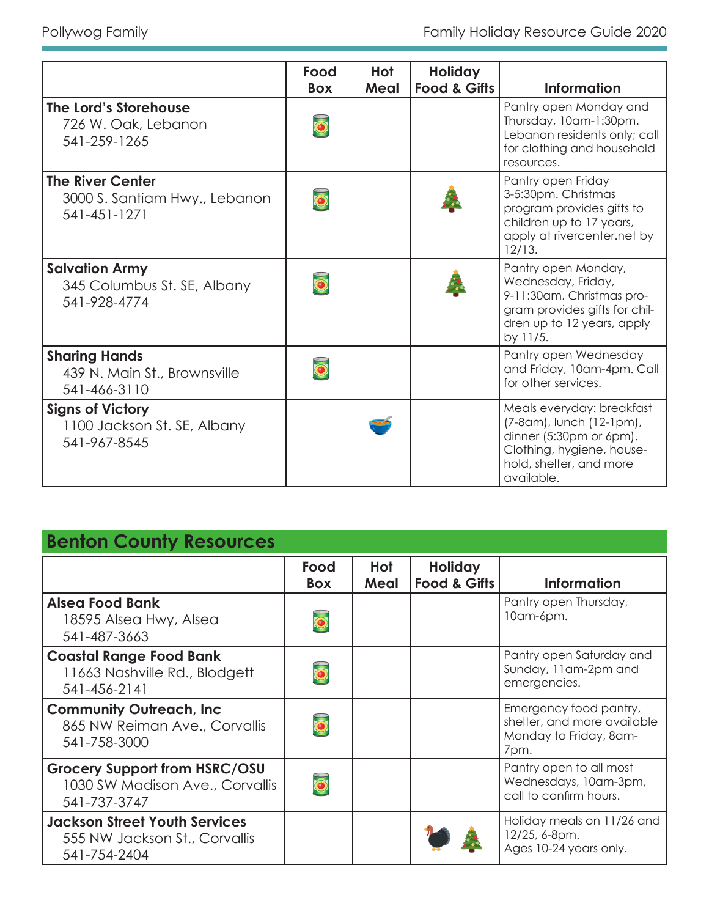|                                                                          | Food                 | Hot  | <b>Holiday</b> |                                                                                                                                                          |
|--------------------------------------------------------------------------|----------------------|------|----------------|----------------------------------------------------------------------------------------------------------------------------------------------------------|
|                                                                          | <b>Box</b>           | Meal | Food & Gifts   | <b>Information</b>                                                                                                                                       |
| The Lord's Storehouse<br>726 W. Oak, Lebanon<br>541-259-1265             |                      |      |                | Pantry open Monday and<br>Thursday, 10am-1:30pm.<br>Lebanon residents only; call<br>for clothing and household<br>resources.                             |
| <b>The River Center</b><br>3000 S. Santiam Hwy., Lebanon<br>541-451-1271 |                      |      |                | Pantry open Friday<br>3-5:30pm. Christmas<br>program provides gifts to<br>children up to 17 years,<br>apply at rivercenter.net by<br>12/13.              |
| <b>Salvation Army</b><br>345 Columbus St. SE, Albany<br>541-928-4774     | $\overline{\bullet}$ |      |                | Pantry open Monday,<br>Wednesday, Friday,<br>9-11:30am. Christmas pro-<br>gram provides gifts for chil-<br>dren up to 12 years, apply<br>by 11/5.        |
| <b>Sharing Hands</b><br>439 N. Main St., Brownsville<br>541-466-3110     |                      |      |                | Pantry open Wednesday<br>and Friday, 10am-4pm. Call<br>for other services.                                                                               |
| <b>Signs of Victory</b><br>1100 Jackson St. SE, Albany<br>541-967-8545   |                      |      |                | Meals everyday: breakfast<br>(7-8 am), lunch (12-1 pm),<br>dinner (5:30pm or 6pm).<br>Clothing, hygiene, house-<br>hold, shelter, and more<br>available. |

### **Benton County Resources**

|                                                                                         | Food<br><b>Box</b> | Hot<br>Meal | <b>Holiday</b><br><b>Food &amp; Gifts</b> | <b>Information</b>                                                                      |
|-----------------------------------------------------------------------------------------|--------------------|-------------|-------------------------------------------|-----------------------------------------------------------------------------------------|
| <b>Alsea Food Bank</b><br>18595 Alsea Hwy, Alsea<br>541-487-3663                        |                    |             |                                           | Pantry open Thursday,<br>10am-6pm.                                                      |
| <b>Coastal Range Food Bank</b><br>11663 Nashville Rd., Blodgett<br>541-456-2141         |                    |             |                                           | Pantry open Saturday and<br>Sunday, 11am-2pm and<br>emergencies.                        |
| <b>Community Outreach, Inc.</b><br>865 NW Reiman Ave., Corvallis<br>541-758-3000        |                    |             |                                           | Emergency food pantry,<br>shelter, and more available<br>Monday to Friday, 8am-<br>7pm. |
| <b>Grocery Support from HSRC/OSU</b><br>1030 SW Madison Ave., Corvallis<br>541-737-3747 |                    |             |                                           | Pantry open to all most<br>Wednesdays, 10am-3pm,<br>call to confirm hours.              |
| <b>Jackson Street Youth Services</b><br>555 NW Jackson St., Corvallis<br>541-754-2404   |                    |             |                                           | Holiday meals on 11/26 and<br>12/25, 6-8pm.<br>Ages 10-24 years only.                   |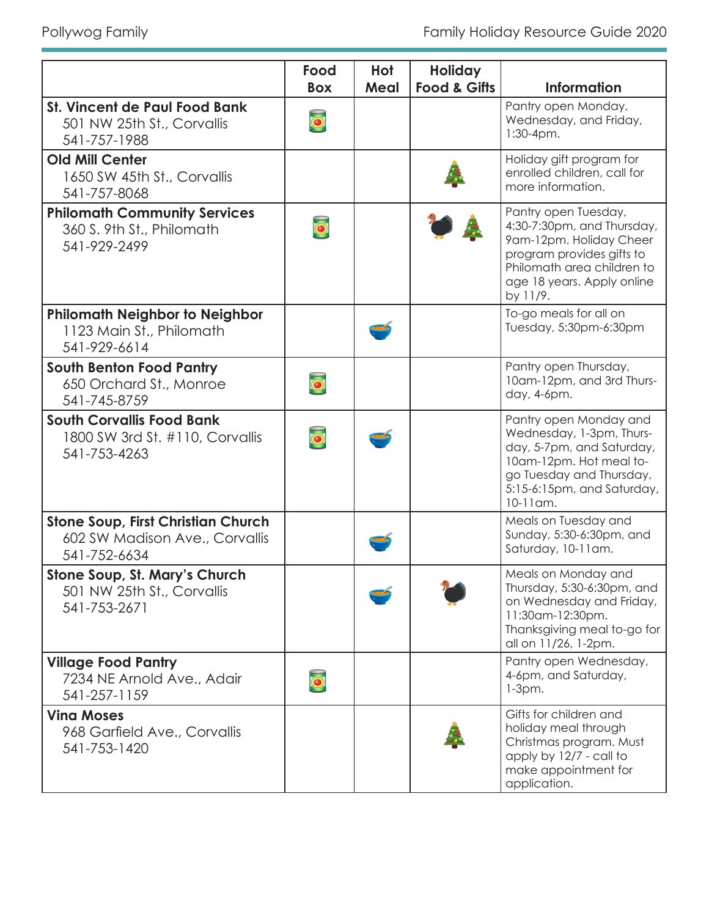|                                                                                             | Food                    | Hot  | <b>Holiday</b>          |                                                                                                                                                                                     |
|---------------------------------------------------------------------------------------------|-------------------------|------|-------------------------|-------------------------------------------------------------------------------------------------------------------------------------------------------------------------------------|
|                                                                                             | <b>Box</b>              | Meal | <b>Food &amp; Gifts</b> | <b>Information</b>                                                                                                                                                                  |
| <b>St. Vincent de Paul Food Bank</b><br>501 NW 25th St., Corvallis<br>541-757-1988          | $\overline{\bullet}$    |      |                         | Pantry open Monday,<br>Wednesday, and Friday,<br>$1:30-4pm.$                                                                                                                        |
| <b>Old Mill Center</b><br>1650 SW 45th St., Corvallis<br>541-757-8068                       |                         |      |                         | Holiday gift program for<br>enrolled children, call for<br>more information.                                                                                                        |
| <b>Philomath Community Services</b><br>360 S. 9th St., Philomath<br>541-929-2499            | $\overline{\bullet}$    |      |                         | Pantry open Tuesday,<br>4:30-7:30pm, and Thursday,<br>9am-12pm. Holiday Cheer<br>program provides gifts to<br>Philomath area children to<br>age 18 years. Apply online<br>by 11/9.  |
| <b>Philomath Neighbor to Neighbor</b><br>1123 Main St., Philomath<br>541-929-6614           |                         |      |                         | To-go meals for all on<br>Tuesday, 5:30pm-6:30pm                                                                                                                                    |
| <b>South Benton Food Pantry</b><br>650 Orchard St., Monroe<br>541-745-8759                  | $\overline{\mathbf{o}}$ |      |                         | Pantry open Thursday,<br>10am-12pm, and 3rd Thurs-<br>day, 4-6pm.                                                                                                                   |
| <b>South Corvallis Food Bank</b><br>1800 SW 3rd St. #110, Corvallis<br>541-753-4263         | $\overline{\bullet}$    |      |                         | Pantry open Monday and<br>Wednesday, 1-3pm, Thurs-<br>day, 5-7pm, and Saturday,<br>10am-12pm. Hot meal to-<br>go Tuesday and Thursday,<br>5:15-6:15pm, and Saturday,<br>$10-11$ am. |
| <b>Stone Soup, First Christian Church</b><br>602 SW Madison Ave., Corvallis<br>541-752-6634 |                         |      |                         | Meals on Tuesday and<br>Sunday, 5:30-6:30pm, and<br>Saturday, 10-11am.                                                                                                              |
| Stone Soup, St. Mary's Church<br>501 NW 25th St., Corvallis<br>541-753-2671                 |                         |      |                         | Meals on Monday and<br>Thursday, 5:30-6:30pm, and<br>on Wednesday and Friday,<br>11:30am-12:30pm.<br>Thanksgiving meal to-go for<br>all on 11/26, 1-2pm.                            |
| <b>Village Food Pantry</b><br>7234 NE Arnold Ave., Adair<br>541-257-1159                    |                         |      |                         | Pantry open Wednesday,<br>4-6pm, and Saturday,<br>$1-3pm.$                                                                                                                          |
| <b>Ving Moses</b><br>968 Garfield Ave., Corvallis<br>541-753-1420                           |                         |      |                         | Gifts for children and<br>holiday meal through<br>Christmas program. Must<br>apply by 12/7 - call to<br>make appointment for<br>application.                                        |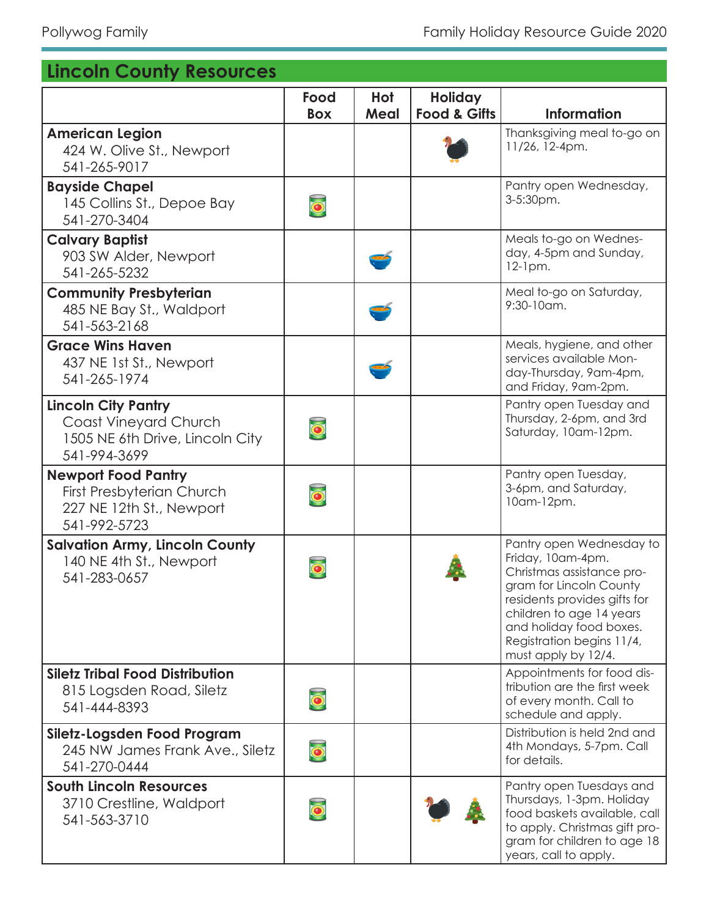## **Lincoln County Resources**

|                                                                                                            | Food<br><b>Box</b>   | Hot<br>Meal | <b>Holiday</b><br><b>Food &amp; Gifts</b> | <b>Information</b>                                                                                                                                                                                                                               |
|------------------------------------------------------------------------------------------------------------|----------------------|-------------|-------------------------------------------|--------------------------------------------------------------------------------------------------------------------------------------------------------------------------------------------------------------------------------------------------|
| <b>American Legion</b><br>424 W. Olive St., Newport<br>541-265-9017                                        |                      |             |                                           | Thanksgiving meal to-go on<br>11/26, 12-4pm.                                                                                                                                                                                                     |
| <b>Bayside Chapel</b><br>145 Collins St., Depoe Bay<br>541-270-3404                                        | $\overline{\bullet}$ |             |                                           | Pantry open Wednesday,<br>3-5:30pm.                                                                                                                                                                                                              |
| <b>Calvary Baptist</b><br>903 SW Alder, Newport<br>541-265-5232                                            |                      |             |                                           | Meals to-go on Wednes-<br>day, 4-5pm and Sunday,<br>$12$ -1pm.                                                                                                                                                                                   |
| <b>Community Presbyterian</b><br>485 NE Bay St., Waldport<br>541-563-2168                                  |                      |             |                                           | Meal to-go on Saturday,<br>$9:30-10$ am.                                                                                                                                                                                                         |
| <b>Grace Wins Haven</b><br>437 NE 1st St., Newport<br>541-265-1974                                         |                      |             |                                           | Meals, hygiene, and other<br>services available Mon-<br>day-Thursday, 9am-4pm,<br>and Friday, 9am-2pm.                                                                                                                                           |
| <b>Lincoln City Pantry</b><br>Coast Vineyard Church<br>1505 NE 6th Drive, Lincoln City<br>541-994-3699     |                      |             |                                           | Pantry open Tuesday and<br>Thursday, 2-6pm, and 3rd<br>Saturday, 10am-12pm.                                                                                                                                                                      |
| <b>Newport Food Pantry</b><br><b>First Presbyterian Church</b><br>227 NE 12th St., Newport<br>541-992-5723 |                      |             |                                           | Pantry open Tuesday,<br>3-6pm, and Saturday,<br>10am-12pm.                                                                                                                                                                                       |
| <b>Salvation Army, Lincoln County</b><br>140 NE 4th St., Newport<br>541-283-0657                           |                      |             |                                           | Pantry open Wednesday to<br>Friday, 10am-4pm.<br>Christmas assistance pro-<br>gram for Lincoln County<br>residents provides gifts for<br>children to age 14 years<br>and holiday food boxes.<br>Registration begins 11/4,<br>must apply by 12/4. |
| <b>Siletz Tribal Food Distribution</b><br>815 Logsden Road, Siletz<br>541-444-8393                         | $\overline{\bullet}$ |             |                                           | Appointments for food dis-<br>tribution are the first week<br>of every month. Call to<br>schedule and apply.                                                                                                                                     |
| Siletz-Logsden Food Program<br>245 NW James Frank Ave., Siletz<br>541-270-0444                             | $\overline{\bullet}$ |             |                                           | Distribution is held 2nd and<br>4th Mondays, 5-7pm. Call<br>for details.                                                                                                                                                                         |
| <b>South Lincoln Resources</b><br>3710 Crestline, Waldport<br>541-563-3710                                 | $\bullet$            |             |                                           | Pantry open Tuesdays and<br>Thursdays, 1-3pm. Holiday<br>food baskets available, call<br>to apply. Christmas gift pro-<br>gram for children to age 18<br>years, call to apply.                                                                   |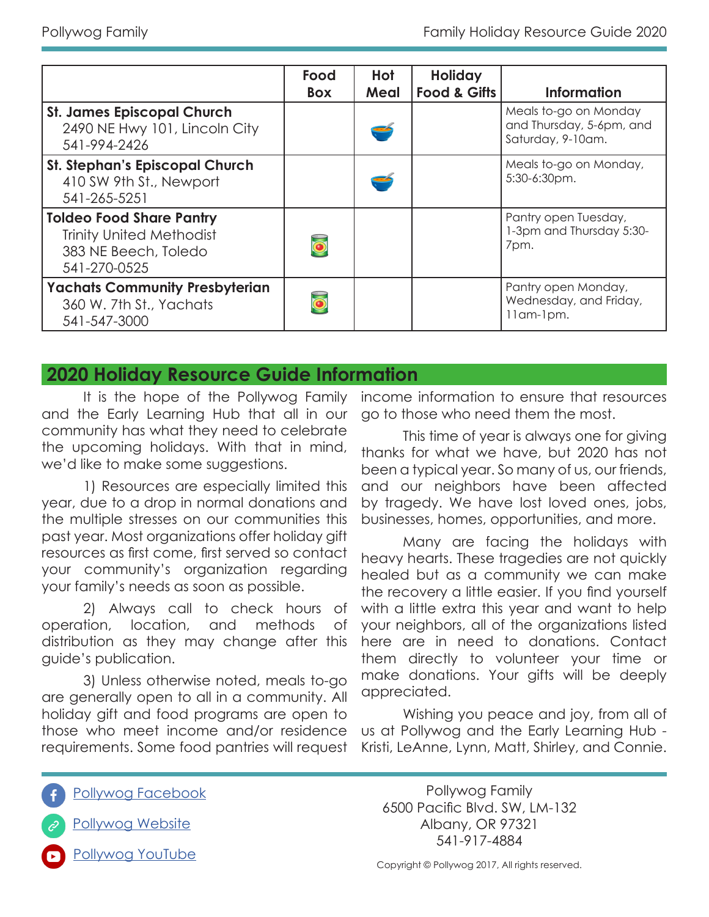|                                                                                                            | Food<br><b>Box</b> | Hot<br>Meal | <b>Holiday</b><br><b>Food &amp; Gifts</b> | <b>Information</b>                                                     |
|------------------------------------------------------------------------------------------------------------|--------------------|-------------|-------------------------------------------|------------------------------------------------------------------------|
| <b>St. James Episcopal Church</b><br>2490 NE Hwy 101, Lincoln City<br>541-994-2426                         |                    |             |                                           | Meals to-go on Monday<br>and Thursday, 5-6pm, and<br>Saturday, 9-10am. |
| <b>St. Stephan's Episcopal Church</b><br>410 SW 9th St., Newport<br>541-265-5251                           |                    |             |                                           | Meals to-go on Monday,<br>5:30-6:30pm.                                 |
| <b>Toldeo Food Share Pantry</b><br><b>Trinity United Methodist</b><br>383 NE Beech, Toledo<br>541-270-0525 |                    |             |                                           | Pantry open Tuesday,<br>1-3pm and Thursday 5:30-<br>7pm.               |
| <b>Yachats Community Presbyterian</b><br>360 W. 7th St., Yachats<br>541-547-3000                           |                    |             |                                           | Pantry open Monday,<br>Wednesday, and Friday,<br>llam-lpm.             |

#### **2020 Holiday Resource Guide Information**

It is the hope of the Pollywog Family and the Early Learning Hub that all in our community has what they need to celebrate the upcoming holidays. With that in mind, we'd like to make some suggestions.

1) Resources are especially limited this year, due to a drop in normal donations and the multiple stresses on our communities this past year. Most organizations offer holiday gift resources as first come, first served so contact your community's organization regarding your family's needs as soon as possible.

2) Always call to check hours of operation, location, and methods of distribution as they may change after this guide's publication.

3) Unless otherwise noted, meals to-go are generally open to all in a community. All holiday gift and food programs are open to those who meet income and/or residence requirements. Some food pantries will request

income information to ensure that resources go to those who need them the most.

This time of year is always one for giving thanks for what we have, but 2020 has not been a typical year. So many of us, our friends, and our neighbors have been affected by tragedy. We have lost loved ones, jobs, businesses, homes, opportunities, and more.

Many are facing the holidays with heavy hearts. These tragedies are not quickly healed but as a community we can make the recovery a little easier. If you find yourself with a little extra this year and want to help your neighbors, all of the organizations listed here are in need to donations. Contact them directly to volunteer your time or make donations. Your gifts will be deeply appreciated.

Wishing you peace and joy, from all of us at Pollywog and the Early Learning Hub - Kristi, LeAnne, Lynn, Matt, Shirley, and Connie.

Pollywog Facebook



Pollywog Website

Pollywog Family 6500 Pacific Blvd. SW, LM-132 Albany, OR 97321 541-917-4884

Pollywog YouTube

Copyright © Pollywog 2017, All rights reserved.